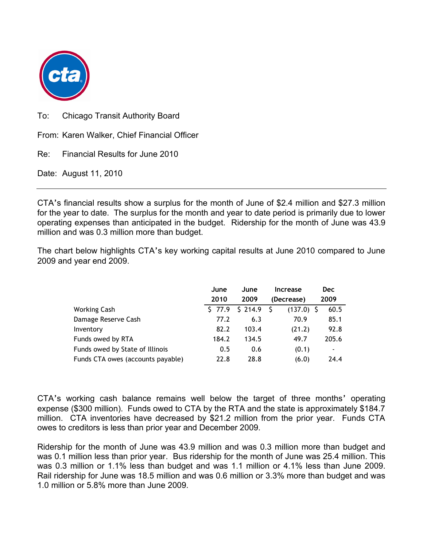

To: Chicago Transit Authority Board

From: Karen Walker, Chief Financial Officer

Re: Financial Results for June 2010

Date: August 11, 2010

CTA's financial results show a surplus for the month of June of \$2.4 million and \$27.3 million for the year to date. The surplus for the month and year to date period is primarily due to lower operating expenses than anticipated in the budget. Ridership for the month of June was 43.9 million and was 0.3 million more than budget.

The chart below highlights CTA's key working capital results at June 2010 compared to June 2009 and year end 2009.

|                                   | June   | June    | <b>Increase</b>   | Dec   |
|-----------------------------------|--------|---------|-------------------|-------|
|                                   | 2010   | 2009    | (Decrease)        | 2009  |
| Working Cash                      | \$77.9 | \$214.9 | S<br>$(137.0)$ \$ | 60.5  |
| Damage Reserve Cash               | 77.2   | 6.3     | 70.9              | 85.1  |
| Inventory                         | 82.2   | 103.4   | (21.2)            | 92.8  |
| Funds owed by RTA                 | 184.2  | 134.5   | 49.7              | 205.6 |
| Funds owed by State of Illinois   | 0.5    | 0.6     | (0.1)             | ۰     |
| Funds CTA owes (accounts payable) | 22.8   | 28.8    | (6.0)             | 24.4  |

CTA's working cash balance remains well below the target of three months' operating expense (\$300 million). Funds owed to CTA by the RTA and the state is approximately \$184.7 million. CTA inventories have decreased by \$21.2 million from the prior year. Funds CTA owes to creditors is less than prior year and December 2009.

Ridership for the month of June was 43.9 million and was 0.3 million more than budget and was 0.1 million less than prior year. Bus ridership for the month of June was 25.4 million. This was 0.3 million or 1.1% less than budget and was 1.1 million or 4.1% less than June 2009. Rail ridership for June was 18.5 million and was 0.6 million or 3.3% more than budget and was 1.0 million or 5.8% more than June 2009.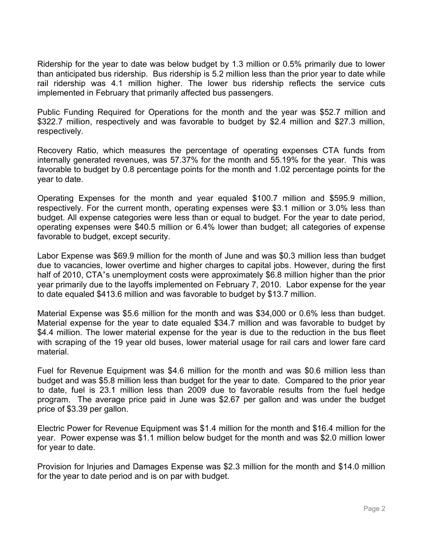Ridership for the year to date was below budget by 1.3 million or 0.5% primarily due to lower than anticipated bus ridership. Bus ridership is 5.2 million less than the prior year to date while rail ridership was 4.1 million higher. The lower bus ridership reflects the service cuts implemented in February that primarily affected bus passengers.

Public Funding Required for Operations for the month and the year was \$52.7 million and \$322.7 million, respectively and was favorable to budget by \$2.4 million and \$27.3 million, respectively.

Recovery Ratio, which measures the percentage of operating expenses CTA funds from internally generated revenues, was 57.37% for the month and 55.19% for the year. This was favorable to budget by 0.8 percentage points for the month and 1.02 percentage points for the year to date.

Operating Expenses for the month and year equaled \$100.7 million and \$595.9 million, respectively. For the current month, operating expenses were \$3.1 million or 3.0% less than budget. All expense categories were less than or equal to budget. For the year to date period, operating expenses were \$40.5 million or 6.4% lower than budget; all categories of expense favorable to budget, except security.

Labor Expense was \$69.9 million for the month of June and was \$0.3 million less than budget due to vacancies, lower overtime and higher charges to capital jobs. However, during the first half of 2010, CTA's unemployment costs were approximately \$6.8 million higher than the prior year primarily due to the layoffs implemented on February 7, 2010. Labor expense for the year to date equaled \$413.6 million and was favorable to budget by \$13.7 million.

Material Expense was \$5.6 million for the month and was \$34,000 or 0.6% less than budget. Material expense for the year to date equaled \$34.7 million and was favorable to budget by \$4.4 million. The lower material expense for the year is due to the reduction in the bus fleet with scraping of the 19 year old buses, lower material usage for rail cars and lower fare card material.

Fuel for Revenue Equipment was \$4.6 million for the month and was \$0.6 million less than budget and was \$5.8 million less than budget for the year to date. Compared to the prior year to date, fuel is 23.1 million less than 2009 due to favorable results from the fuel hedge program. The average price paid in June was \$2.67 per gallon and was under the budget price of \$3.39 per gallon.

Electric Power for Revenue Equipment was \$1.4 million for the month and \$16.4 million for the year. Power expense was \$1.1 million below budget for the month and was \$2.0 million lower for year to date.

Provision for Injuries and Damages Expense was \$2.3 million for the month and \$14.0 million for the year to date period and is on par with budget.